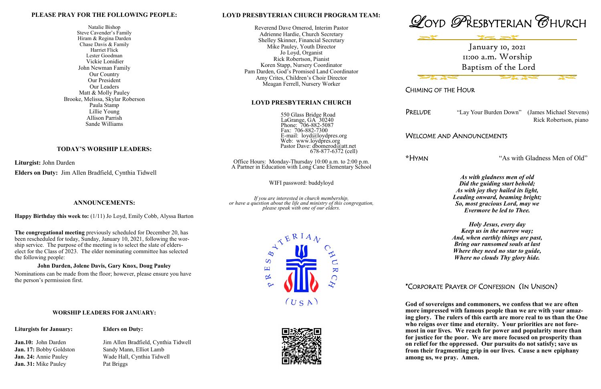#### **LOYD PRESBYTERIAN CHURCH PROGRAM TEAM:**

Reverend Dave Omerod, Interim Pastor Adrienne Hardie, Church Secretary Shelley Skinner, Financial Secretary Mike Pauley, Youth Director Jo Loyd, Organist Rick Robertson, Pianist Koren Stapp, Nursery Coordinator Pam Darden, God's Promised Land Coordinator Amy Crites, Children's Choir Director Meagan Ferrell, Nursery Worker

### **LOYD PRESBYTERIAN CHURCH**

 550 Glass Bridge Road LaGrange, GA 30240 Phone: 706-882-5087 Fax: 706-882-7300 E-mail: loyd@loydpres.org Web: www.loydpres.org Pastor Dave: dbomerod@att.net 678-877-6372 (cell)

Office Hours: Monday-Thursday 10:00 a.m. to 2:00 p.m. A Partner in Education with Long Cane Elementary School

WIFI password: buddyloyd

*If you are interested in church membership, or have a question about the life and ministry of this congregation, please speak with one of our elders.*







CHIMING OF THE HOUR

**Base** 

PRELUDE "Lay Your Burden Down" (James Michael Stevens)

Rick Robertson, piano

### WELCOME AND ANNOUNCEMENTS

**\***HYMN "As with Gladness Men of Old"

*As with gladness men of old Did the guiding start behold; As with joy they hailed its light, Leading onward, beaming bright; So, most gracious Lord, may we Evermore be led to Thee.*

*Holy Jesus, every day Keep us in the narrow way; And, when earthly things are past, Bring our ransomed souls at last Where they need no star to guide, Where no clouds Thy glory hide.*

## \*CORPORATE PRAYER OF CONFESSION (IN UNISON)

January 10, 2021 11:00 a.m. Worship Baptism of the Lord

**God of sovereigns and commoners, we confess that we are often more impressed with famous people than we are with your amazing glory. The rulers of this earth are more real to us than the One who reigns over time and eternity. Your priorities are not foremost in our lives. We reach for power and popularity more than for justice for the poor. We are more focused on prosperity than on relief for the oppressed. Our pursuits do not satisfy; save us from their fragmenting grip in our lives. Cause a new epiphany among us, we pray. Amen.**

#### **PLEASE PRAY FOR THE FOLLOWING PEOPLE:**

Natalie Bishop Steve Cavender's Family Hiram & Regina Darden Chase Davis & Family Harriet Flick Lester Goodman Vickie Lonidier John Newman Family Our Country Our President Our Leaders Matt & Molly Pauley Brooke, Melissa, Skylar Roberson Paula Stamp Lillie Young Allison Parrish Sande Williams

### **TODAY'S WORSHIP LEADERS:**

**Liturgist:** John Darden

**Elders on Duty:** Jim Allen Bradfield, Cynthia Tidwell

**ANNOUNCEMENTS:**

**Happy Birthday this week to:** (1/11) Jo Loyd, Emily Cobb, Alyssa Barton

**The congregational meeting** previously scheduled for December 20, has been rescheduled for today, Sunday, January 10, 2021, following the worship service. The purpose of the meeting is to select the slate of elderselect for the Class of 2023. The elder nominating committee has selected

the following people:

**John Darden, Jolene Davis, Gary Knox, Doug Pauley** Nominations can be made from the floor; however, please ensure you have

the person's permission first.

**Jan. 31:** Mike Pauley Pat Briggs

**Jan.10:** John Darden Jim Allen Bradfield, Cynthia Tidwell **Jan. 17: Bobby Goldston** Sandy Mann, Elliot Lamb **Jan. 24:** Annie Pauley Wade Hall, Cynthia Tidwell

**WORSHIP LEADERS FOR JANUARY:**

#### **Liturgists for January: Elders on Duty:**